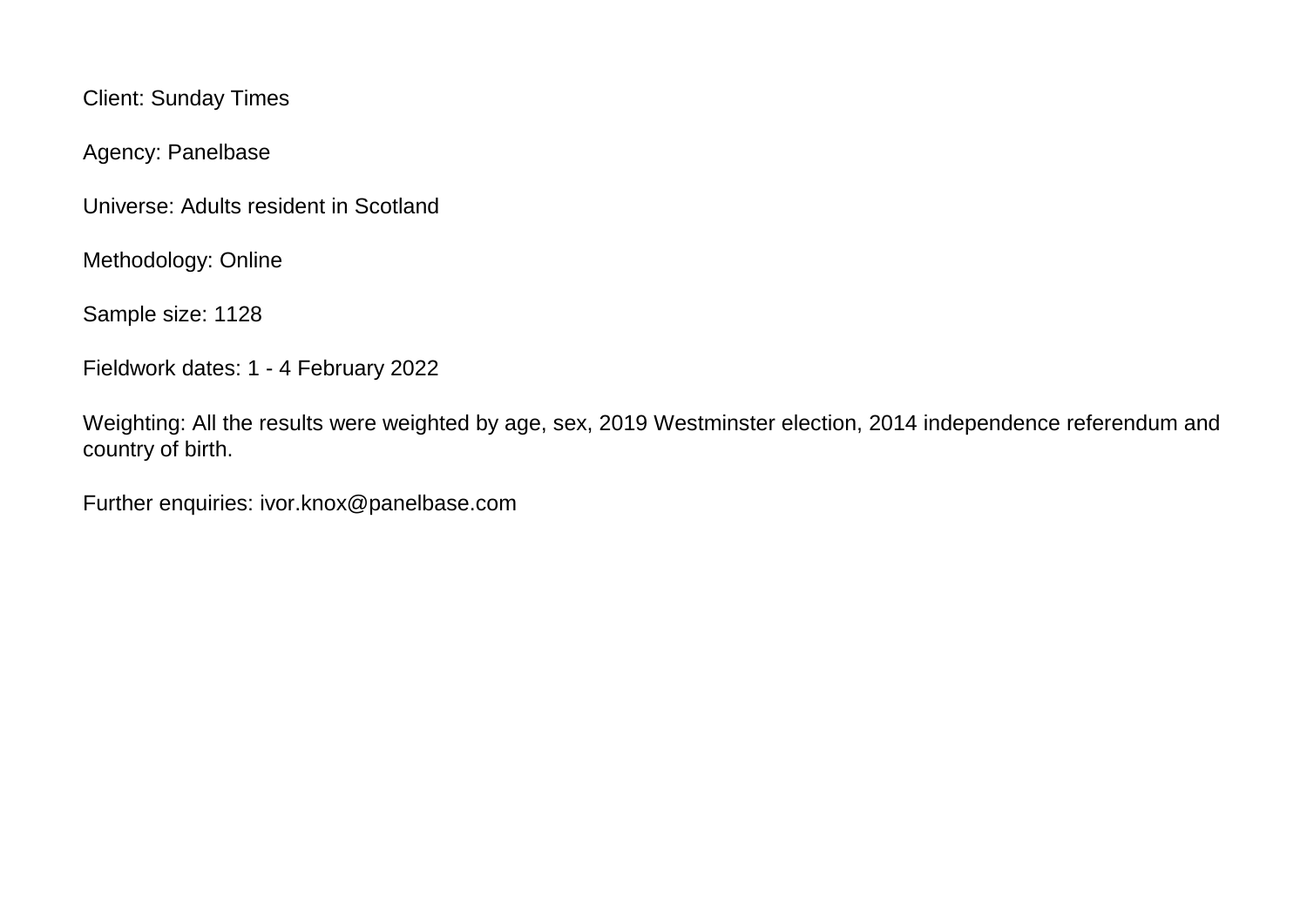Client: Sunday Times

Agency: Panelbase

Universe: Adults resident in Scotland

Methodology: Online

Sample size: 1128

Fieldwork dates: 1 - 4 February 2022

Weighting: All the results were weighted by age, sex, 2019 Westminster election, 2014 independence referendum and country of birth.

Further enquiries: ivor.knox@panelbase.com